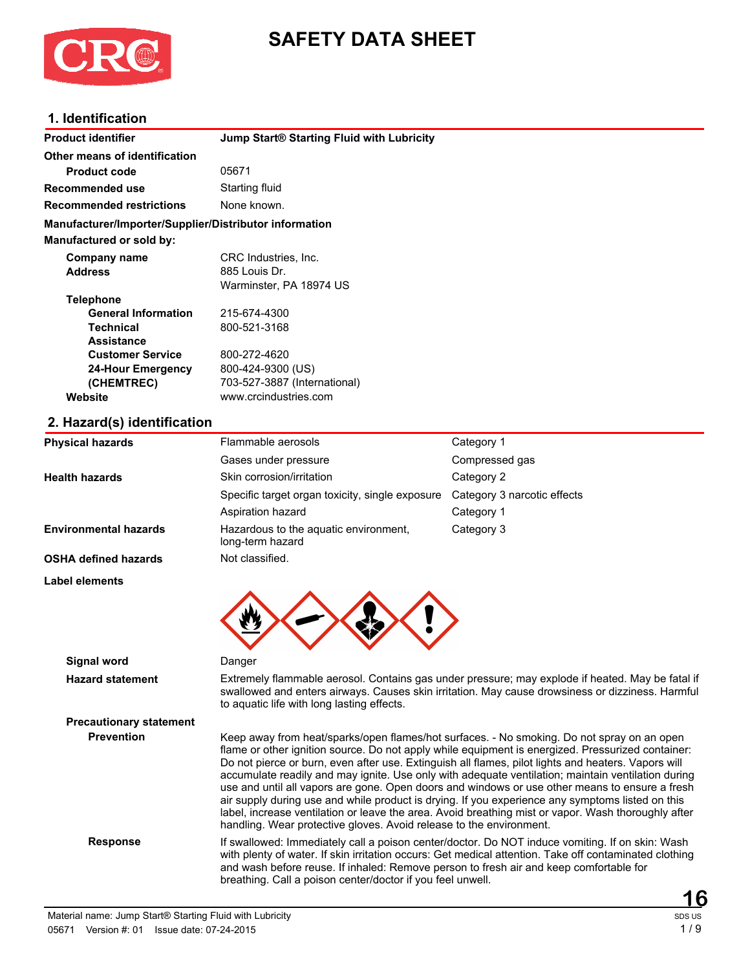

# **SAFETY DATA SHEET**

### **1. Identification**

| <b>Product identifier</b>                              | <b>Jump Start® Starting Fluid with Lubricity</b>          |                             |  |  |
|--------------------------------------------------------|-----------------------------------------------------------|-----------------------------|--|--|
| Other means of identification                          |                                                           |                             |  |  |
| <b>Product code</b>                                    | 05671                                                     |                             |  |  |
| <b>Recommended use</b>                                 | Starting fluid                                            |                             |  |  |
| <b>Recommended restrictions</b>                        | None known.                                               |                             |  |  |
| Manufacturer/Importer/Supplier/Distributor information |                                                           |                             |  |  |
| Manufactured or sold by:                               |                                                           |                             |  |  |
| Company name                                           | CRC Industries, Inc.                                      |                             |  |  |
| <b>Address</b>                                         | 885 Louis Dr.                                             |                             |  |  |
|                                                        | Warminster, PA 18974 US                                   |                             |  |  |
| <b>Telephone</b>                                       |                                                           |                             |  |  |
| <b>General Information</b>                             | 215-674-4300                                              |                             |  |  |
| <b>Technical</b>                                       | 800-521-3168                                              |                             |  |  |
| <b>Assistance</b>                                      |                                                           |                             |  |  |
| <b>Customer Service</b>                                | 800-272-4620                                              |                             |  |  |
| <b>24-Hour Emergency</b>                               | 800-424-9300 (US)                                         |                             |  |  |
| (CHEMTREC)                                             | 703-527-3887 (International)                              |                             |  |  |
| Website                                                | www.crcindustries.com                                     |                             |  |  |
| 2. Hazard(s) identification                            |                                                           |                             |  |  |
| <b>Physical hazards</b>                                | Flammable aerosols                                        | Category 1                  |  |  |
|                                                        | Gases under pressure                                      | Compressed gas              |  |  |
| <b>Health hazards</b>                                  | Skin corrosion/irritation                                 | Category 2                  |  |  |
|                                                        | Specific target organ toxicity, single exposure           | Category 3 narcotic effects |  |  |
|                                                        | Aspiration hazard                                         | Category 1                  |  |  |
| <b>Environmental hazards</b>                           | Hazardous to the aquatic environment,<br>long-term hazard | Category 3                  |  |  |
| <b>OSHA defined hazards</b>                            | Not classified.                                           |                             |  |  |
|                                                        |                                                           |                             |  |  |

**Label elements**



**Signal word** Danger

**Precautionary statement**

**Hazard statement** Extremely flammable aerosol. Contains gas under pressure; may explode if heated. May be fatal if swallowed and enters airways. Causes skin irritation. May cause drowsiness or dizziness. Harmful to aquatic life with long lasting effects.

**Prevention** Keep away from heat/sparks/open flames/hot surfaces. - No smoking. Do not spray on an open flame or other ignition source. Do not apply while equipment is energized. Pressurized container: Do not pierce or burn, even after use. Extinguish all flames, pilot lights and heaters. Vapors will accumulate readily and may ignite. Use only with adequate ventilation; maintain ventilation during use and until all vapors are gone. Open doors and windows or use other means to ensure a fresh air supply during use and while product is drying. If you experience any symptoms listed on this label, increase ventilation or leave the area. Avoid breathing mist or vapor. Wash thoroughly after handling. Wear protective gloves. Avoid release to the environment.

**Response** If swallowed: Immediately call a poison center/doctor. Do NOT induce vomiting. If on skin: Wash with plenty of water. If skin irritation occurs: Get medical attention. Take off contaminated clothing and wash before reuse. If inhaled: Remove person to fresh air and keep comfortable for breathing. Call a poison center/doctor if you feel unwell.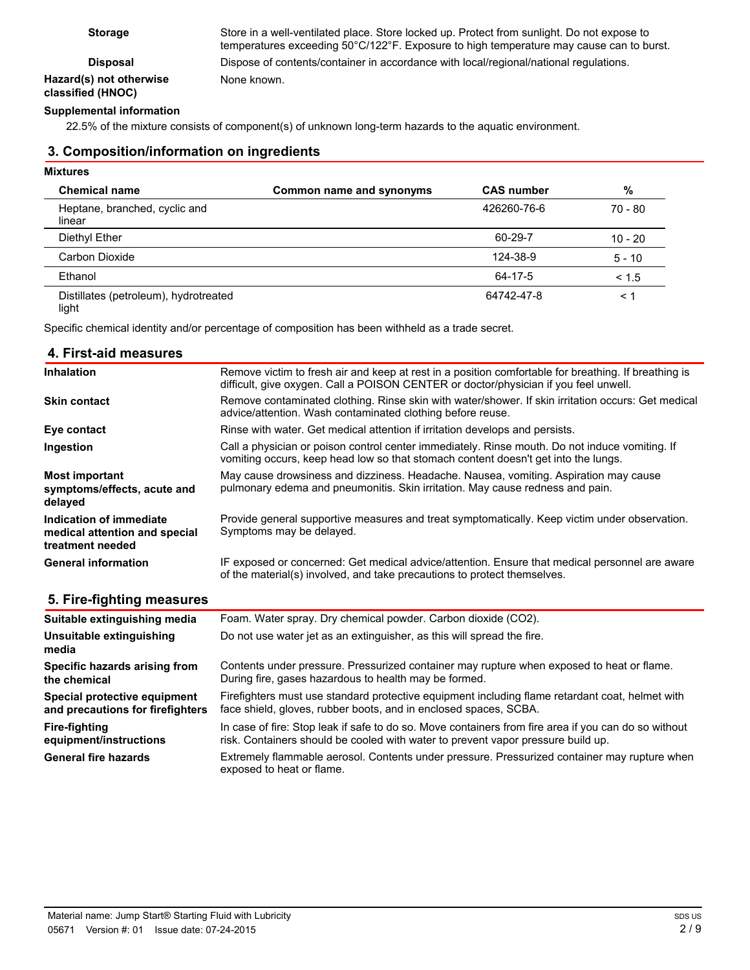### **Hazard(s) not otherwise classified (HNOC)**

**Storage** Store in a well-ventilated place. Store locked up. Protect from sunlight. Do not expose to temperatures exceeding 50°C/122°F. Exposure to high temperature may cause can to burst. **Disposal** Dispose of contents/container in accordance with local/regional/national regulations. None known.

#### **Supplemental information**

22.5% of the mixture consists of component(s) of unknown long-term hazards to the aquatic environment.

#### **3. Composition/information on ingredients**

#### **Mixtures**

| <b>Chemical name</b>                    | Common name and synonyms | <b>CAS number</b> | %         |
|-----------------------------------------|--------------------------|-------------------|-----------|
| Heptane, branched, cyclic and<br>linear |                          | 426260-76-6       | 70 - 80   |
| Diethyl Ether                           |                          | 60-29-7           | $10 - 20$ |
| Carbon Dioxide                          |                          | 124-38-9          | $5 - 10$  |
| Ethanol                                 |                          | 64-17-5           | < 1.5     |
| Distillates (petroleum), hydrotreated   |                          | 64742-47-8        | $\leq 1$  |

light

Specific chemical identity and/or percentage of composition has been withheld as a trade secret.

#### **4. First-aid measures**

| <b>Inhalation</b>                                                            | Remove victim to fresh air and keep at rest in a position comfortable for breathing. If breathing is<br>difficult, give oxygen. Call a POISON CENTER or doctor/physician if you feel unwell. |
|------------------------------------------------------------------------------|----------------------------------------------------------------------------------------------------------------------------------------------------------------------------------------------|
| <b>Skin contact</b>                                                          | Remove contaminated clothing. Rinse skin with water/shower. If skin irritation occurs: Get medical<br>advice/attention. Wash contaminated clothing before reuse.                             |
| Eye contact                                                                  | Rinse with water. Get medical attention if irritation develops and persists.                                                                                                                 |
| Ingestion                                                                    | Call a physician or poison control center immediately. Rinse mouth. Do not induce vomiting. If<br>vomiting occurs, keep head low so that stomach content doesn't get into the lungs.         |
| <b>Most important</b><br>symptoms/effects, acute and<br>delayed              | May cause drowsiness and dizziness. Headache. Nausea, vomiting. Aspiration may cause<br>pulmonary edema and pneumonitis. Skin irritation. May cause redness and pain.                        |
| Indication of immediate<br>medical attention and special<br>treatment needed | Provide general supportive measures and treat symptomatically. Keep victim under observation.<br>Symptoms may be delayed.                                                                    |
| <b>General information</b>                                                   | IF exposed or concerned: Get medical advice/attention. Ensure that medical personnel are aware<br>of the material(s) involved, and take precautions to protect themselves.                   |

#### **5. Fire-fighting measures**

| Suitable extinguishing media      | Foam. Water spray. Dry chemical powder. Carbon dioxide (CO2).                                                             |  |
|-----------------------------------|---------------------------------------------------------------------------------------------------------------------------|--|
| Unsuitable extinguishing<br>media | Do not use water jet as an extinguisher, as this will spread the fire.                                                    |  |
| Specific hazards arising from     | Contents under pressure. Pressurized container may rupture when exposed to heat or flame.                                 |  |
| the chemical                      | During fire, gases hazardous to health may be formed.                                                                     |  |
| Special protective equipment      | Firefighters must use standard protective equipment including flame retardant coat, helmet with                           |  |
| and precautions for firefighters  | face shield, gloves, rubber boots, and in enclosed spaces, SCBA.                                                          |  |
| <b>Fire-fighting</b>              | In case of fire: Stop leak if safe to do so. Move containers from fire area if you can do so without                      |  |
| equipment/instructions            | risk. Containers should be cooled with water to prevent vapor pressure build up.                                          |  |
| <b>General fire hazards</b>       | Extremely flammable aerosol. Contents under pressure. Pressurized container may rupture when<br>exposed to heat or flame. |  |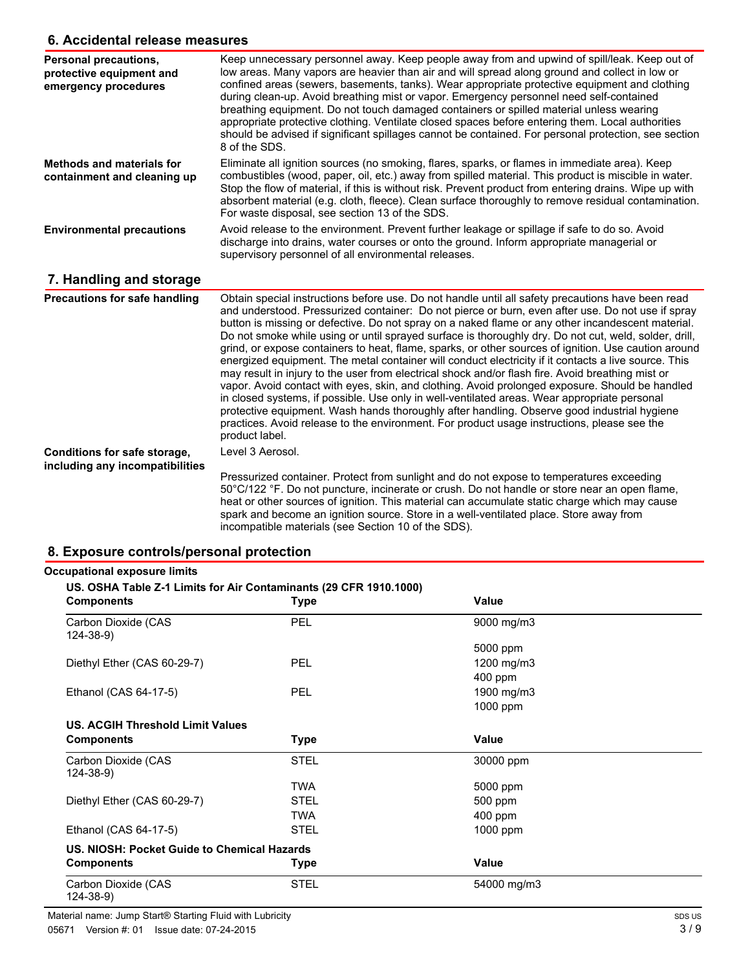### **6. Accidental release measures**

| o. Accidental release measures                                                   |                                                                                                                                                                                                                                                                                                                                                                                                                                                                                                                                                                                                                                                                                                                                                                                                                                                                                                                                                                                                                                                                                                                                                              |  |
|----------------------------------------------------------------------------------|--------------------------------------------------------------------------------------------------------------------------------------------------------------------------------------------------------------------------------------------------------------------------------------------------------------------------------------------------------------------------------------------------------------------------------------------------------------------------------------------------------------------------------------------------------------------------------------------------------------------------------------------------------------------------------------------------------------------------------------------------------------------------------------------------------------------------------------------------------------------------------------------------------------------------------------------------------------------------------------------------------------------------------------------------------------------------------------------------------------------------------------------------------------|--|
| <b>Personal precautions,</b><br>protective equipment and<br>emergency procedures | Keep unnecessary personnel away. Keep people away from and upwind of spill/leak. Keep out of<br>low areas. Many vapors are heavier than air and will spread along ground and collect in low or<br>confined areas (sewers, basements, tanks). Wear appropriate protective equipment and clothing<br>during clean-up. Avoid breathing mist or vapor. Emergency personnel need self-contained<br>breathing equipment. Do not touch damaged containers or spilled material unless wearing<br>appropriate protective clothing. Ventilate closed spaces before entering them. Local authorities<br>should be advised if significant spillages cannot be contained. For personal protection, see section<br>8 of the SDS.                                                                                                                                                                                                                                                                                                                                                                                                                                           |  |
| <b>Methods and materials for</b><br>containment and cleaning up                  | Eliminate all ignition sources (no smoking, flares, sparks, or flames in immediate area). Keep<br>combustibles (wood, paper, oil, etc.) away from spilled material. This product is miscible in water.<br>Stop the flow of material, if this is without risk. Prevent product from entering drains. Wipe up with<br>absorbent material (e.g. cloth, fleece). Clean surface thoroughly to remove residual contamination.<br>For waste disposal, see section 13 of the SDS.                                                                                                                                                                                                                                                                                                                                                                                                                                                                                                                                                                                                                                                                                    |  |
| <b>Environmental precautions</b>                                                 | Avoid release to the environment. Prevent further leakage or spillage if safe to do so. Avoid<br>discharge into drains, water courses or onto the ground. Inform appropriate managerial or<br>supervisory personnel of all environmental releases.                                                                                                                                                                                                                                                                                                                                                                                                                                                                                                                                                                                                                                                                                                                                                                                                                                                                                                           |  |
| 7. Handling and storage                                                          |                                                                                                                                                                                                                                                                                                                                                                                                                                                                                                                                                                                                                                                                                                                                                                                                                                                                                                                                                                                                                                                                                                                                                              |  |
| Precautions for safe handling                                                    | Obtain special instructions before use. Do not handle until all safety precautions have been read<br>and understood. Pressurized container: Do not pierce or burn, even after use. Do not use if spray<br>button is missing or defective. Do not spray on a naked flame or any other incandescent material.<br>Do not smoke while using or until sprayed surface is thoroughly dry. Do not cut, weld, solder, drill,<br>grind, or expose containers to heat, flame, sparks, or other sources of ignition. Use caution around<br>energized equipment. The metal container will conduct electricity if it contacts a live source. This<br>may result in injury to the user from electrical shock and/or flash fire. Avoid breathing mist or<br>vapor. Avoid contact with eyes, skin, and clothing. Avoid prolonged exposure. Should be handled<br>in closed systems, if possible. Use only in well-ventilated areas. Wear appropriate personal<br>protective equipment. Wash hands thoroughly after handling. Observe good industrial hygiene<br>practices. Avoid release to the environment. For product usage instructions, please see the<br>product label. |  |
| Conditions for safe storage,                                                     | Level 3 Aerosol.                                                                                                                                                                                                                                                                                                                                                                                                                                                                                                                                                                                                                                                                                                                                                                                                                                                                                                                                                                                                                                                                                                                                             |  |
| including any incompatibilities                                                  | Pressurized container. Protect from sunlight and do not expose to temperatures exceeding<br>50°C/122 °F. Do not puncture, incinerate or crush. Do not handle or store near an open flame,<br>heat or other sources of ignition. This material can accumulate static charge which may cause<br>spark and become an ignition source. Store in a well-ventilated place. Store away from                                                                                                                                                                                                                                                                                                                                                                                                                                                                                                                                                                                                                                                                                                                                                                         |  |

### **8. Exposure controls/personal protection**

| <b>Components</b>                           | <b>Type</b> | Value        |  |
|---------------------------------------------|-------------|--------------|--|
| Carbon Dioxide (CAS<br>$124 - 38 - 9$       | PEL         | 9000 mg/m3   |  |
|                                             |             | 5000 ppm     |  |
| Diethyl Ether (CAS 60-29-7)                 | PEL         | 1200 mg/m3   |  |
|                                             |             | 400 ppm      |  |
| Ethanol (CAS 64-17-5)                       | PEL         | 1900 mg/m3   |  |
|                                             |             | 1000 ppm     |  |
| US. ACGIH Threshold Limit Values            |             |              |  |
| <b>Components</b>                           | <b>Type</b> | <b>Value</b> |  |
| Carbon Dioxide (CAS<br>124-38-9)            | <b>STEL</b> | 30000 ppm    |  |
|                                             | <b>TWA</b>  | 5000 ppm     |  |
| Diethyl Ether (CAS 60-29-7)                 | <b>STEL</b> | 500 ppm      |  |
|                                             | <b>TWA</b>  | $400$ ppm    |  |
| Ethanol (CAS 64-17-5)                       | <b>STEL</b> | 1000 ppm     |  |
| US. NIOSH: Pocket Guide to Chemical Hazards |             |              |  |
| <b>Components</b>                           | <b>Type</b> | Value        |  |
| Carbon Dioxide (CAS                         | <b>STEL</b> | 54000 mg/m3  |  |

incompatible materials (see Section 10 of the SDS).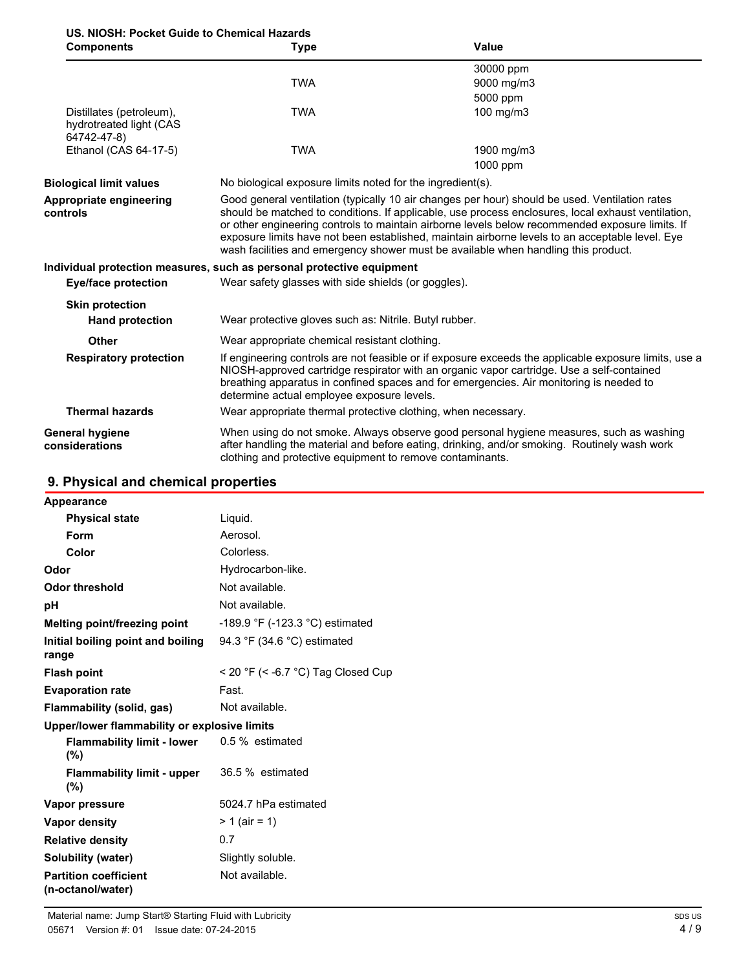## **US. NIOSH: Pocket Guide to Chemical Hazards**

| <b>Components</b>                                                  | <b>Type</b>                                                                                                                                                                                                                                                                                                                                                                                                                                                                                      | Value                                                                                                                                                                                   |
|--------------------------------------------------------------------|--------------------------------------------------------------------------------------------------------------------------------------------------------------------------------------------------------------------------------------------------------------------------------------------------------------------------------------------------------------------------------------------------------------------------------------------------------------------------------------------------|-----------------------------------------------------------------------------------------------------------------------------------------------------------------------------------------|
|                                                                    |                                                                                                                                                                                                                                                                                                                                                                                                                                                                                                  | 30000 ppm                                                                                                                                                                               |
|                                                                    | <b>TWA</b>                                                                                                                                                                                                                                                                                                                                                                                                                                                                                       | 9000 mg/m3                                                                                                                                                                              |
|                                                                    |                                                                                                                                                                                                                                                                                                                                                                                                                                                                                                  | 5000 ppm                                                                                                                                                                                |
| Distillates (petroleum),<br>hydrotreated light (CAS<br>64742-47-8) | <b>TWA</b>                                                                                                                                                                                                                                                                                                                                                                                                                                                                                       | 100 mg/m3                                                                                                                                                                               |
| Ethanol (CAS 64-17-5)                                              | <b>TWA</b>                                                                                                                                                                                                                                                                                                                                                                                                                                                                                       | 1900 mg/m3                                                                                                                                                                              |
|                                                                    |                                                                                                                                                                                                                                                                                                                                                                                                                                                                                                  | 1000 ppm                                                                                                                                                                                |
| <b>Biological limit values</b>                                     | No biological exposure limits noted for the ingredient(s).                                                                                                                                                                                                                                                                                                                                                                                                                                       |                                                                                                                                                                                         |
| Appropriate engineering<br>controls                                | Good general ventilation (typically 10 air changes per hour) should be used. Ventilation rates<br>should be matched to conditions. If applicable, use process enclosures, local exhaust ventilation,<br>or other engineering controls to maintain airborne levels below recommended exposure limits. If<br>exposure limits have not been established, maintain airborne levels to an acceptable level. Eye<br>wash facilities and emergency shower must be available when handling this product. |                                                                                                                                                                                         |
|                                                                    | Individual protection measures, such as personal protective equipment                                                                                                                                                                                                                                                                                                                                                                                                                            |                                                                                                                                                                                         |
| Eye/face protection                                                | Wear safety glasses with side shields (or goggles).                                                                                                                                                                                                                                                                                                                                                                                                                                              |                                                                                                                                                                                         |
| <b>Skin protection</b>                                             |                                                                                                                                                                                                                                                                                                                                                                                                                                                                                                  |                                                                                                                                                                                         |
| <b>Hand protection</b>                                             | Wear protective gloves such as: Nitrile. Butyl rubber.                                                                                                                                                                                                                                                                                                                                                                                                                                           |                                                                                                                                                                                         |
| <b>Other</b>                                                       | Wear appropriate chemical resistant clothing.                                                                                                                                                                                                                                                                                                                                                                                                                                                    |                                                                                                                                                                                         |
| <b>Respiratory protection</b>                                      | If engineering controls are not feasible or if exposure exceeds the applicable exposure limits, use a<br>NIOSH-approved cartridge respirator with an organic vapor cartridge. Use a self-contained<br>breathing apparatus in confined spaces and for emergencies. Air monitoring is needed to<br>determine actual employee exposure levels.                                                                                                                                                      |                                                                                                                                                                                         |
| <b>Thermal hazards</b>                                             | Wear appropriate thermal protective clothing, when necessary.                                                                                                                                                                                                                                                                                                                                                                                                                                    |                                                                                                                                                                                         |
| General hygiene<br>considerations                                  | clothing and protective equipment to remove contaminants.                                                                                                                                                                                                                                                                                                                                                                                                                                        | When using do not smoke. Always observe good personal hygiene measures, such as washing<br>after handling the material and before eating, drinking, and/or smoking. Routinely wash work |

### **9. Physical and chemical properties**

| Appearance                                        |                                    |
|---------------------------------------------------|------------------------------------|
| <b>Physical state</b>                             | Liquid.                            |
| Form                                              | Aerosol.                           |
| Color                                             | Colorless.                         |
| Odor                                              | Hydrocarbon-like.                  |
| <b>Odor threshold</b>                             | Not available.                     |
| рH                                                | Not available.                     |
| Melting point/freezing point                      | -189.9 °F (-123.3 °C) estimated    |
| Initial boiling point and boiling<br>range        | 94.3 °F (34.6 °C) estimated        |
| <b>Flash point</b>                                | < 20 °F (< -6.7 °C) Tag Closed Cup |
| <b>Evaporation rate</b>                           | Fast.                              |
| <b>Flammability (solid, gas)</b>                  | Not available.                     |
| Upper/lower flammability or explosive limits      |                                    |
| <b>Flammability limit - lower</b><br>(%)          | 0.5 % estimated                    |
| <b>Flammability limit - upper</b><br>(%)          | 36.5 % estimated                   |
| Vapor pressure                                    | 5024.7 hPa estimated               |
| <b>Vapor density</b>                              | $> 1$ (air = 1)                    |
| <b>Relative density</b>                           | 0.7                                |
| <b>Solubility (water)</b>                         | Slightly soluble.                  |
| <b>Partition coefficient</b><br>(n-octanol/water) | Not available.                     |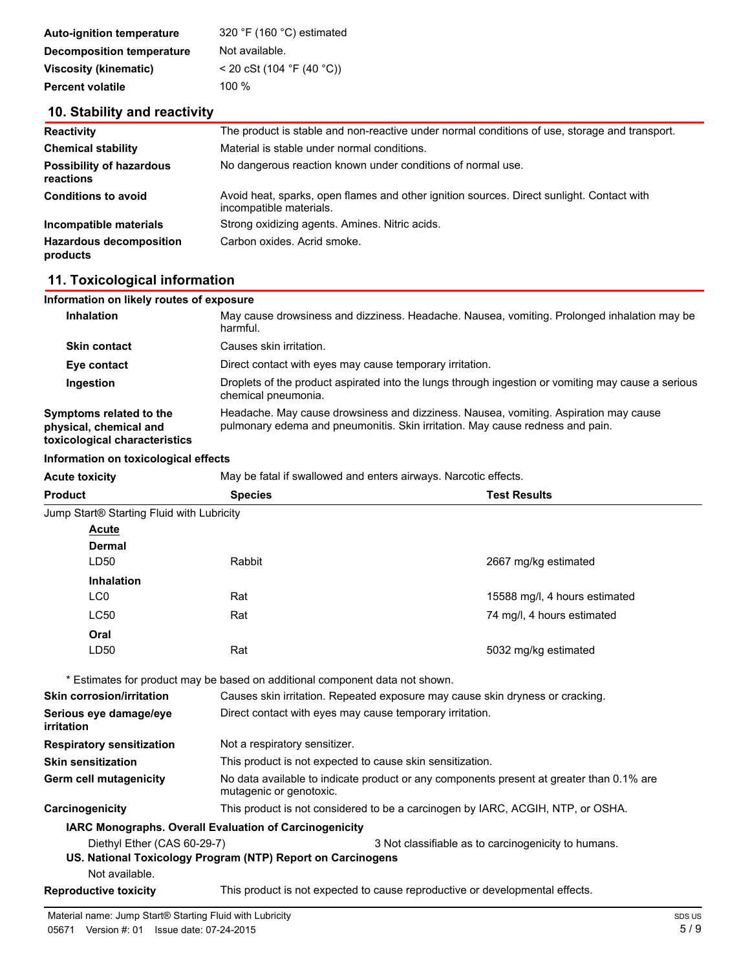| <b>Auto-ignition temperature</b> | 320 °F (160 °C) estimated   |
|----------------------------------|-----------------------------|
| <b>Decomposition temperature</b> | Not available.              |
| <b>Viscosity (kinematic)</b>     | $<$ 20 cSt (104 °F (40 °C)) |
| <b>Percent volatile</b>          | 100 $%$                     |

### **10. Stability and reactivity**

| <b>Reactivity</b>                            | The product is stable and non-reactive under normal conditions of use, storage and transport.                        |  |
|----------------------------------------------|----------------------------------------------------------------------------------------------------------------------|--|
| <b>Chemical stability</b>                    | Material is stable under normal conditions.                                                                          |  |
| <b>Possibility of hazardous</b><br>reactions | No dangerous reaction known under conditions of normal use.                                                          |  |
| <b>Conditions to avoid</b>                   | Avoid heat, sparks, open flames and other ignition sources. Direct sunlight. Contact with<br>incompatible materials. |  |
| Incompatible materials                       | Strong oxidizing agents. Amines. Nitric acids.                                                                       |  |
| <b>Hazardous decomposition</b><br>products   | Carbon oxides. Acrid smoke.                                                                                          |  |

### **11. Toxicological information**

| Information on likely routes of exposure                                           |                                                                                                                                                                       |
|------------------------------------------------------------------------------------|-----------------------------------------------------------------------------------------------------------------------------------------------------------------------|
| <b>Inhalation</b>                                                                  | May cause drowsiness and dizziness. Headache. Nausea, vomiting. Prolonged inhalation may be<br>harmful.                                                               |
| <b>Skin contact</b>                                                                | Causes skin irritation.                                                                                                                                               |
| Eye contact                                                                        | Direct contact with eyes may cause temporary irritation.                                                                                                              |
| Ingestion                                                                          | Droplets of the product aspirated into the lungs through ingestion or vomiting may cause a serious<br>chemical pneumonia.                                             |
| Symptoms related to the<br>physical, chemical and<br>toxicological characteristics | Headache. May cause drowsiness and dizziness. Nausea, vomiting. Aspiration may cause<br>pulmonary edema and pneumonitis. Skin irritation. May cause redness and pain. |

#### **Information on toxicological effects**

| <b>Acute toxicity</b>                                 | May be fatal if swallowed and enters airways. Narcotic effects.                                                     |                                                     |
|-------------------------------------------------------|---------------------------------------------------------------------------------------------------------------------|-----------------------------------------------------|
| <b>Product</b>                                        | <b>Species</b>                                                                                                      | <b>Test Results</b>                                 |
| Jump Start <sup>®</sup> Starting Fluid with Lubricity |                                                                                                                     |                                                     |
| <b>Acute</b>                                          |                                                                                                                     |                                                     |
| <b>Dermal</b>                                         |                                                                                                                     |                                                     |
| LD <sub>50</sub>                                      | Rabbit                                                                                                              | 2667 mg/kg estimated                                |
| <b>Inhalation</b>                                     |                                                                                                                     |                                                     |
| LC <sub>0</sub>                                       | Rat                                                                                                                 | 15588 mg/l, 4 hours estimated                       |
| <b>LC50</b>                                           | Rat                                                                                                                 | 74 mg/l, 4 hours estimated                          |
| Oral                                                  |                                                                                                                     |                                                     |
| LD <sub>50</sub>                                      | Rat                                                                                                                 | 5032 mg/kg estimated                                |
|                                                       | * Estimates for product may be based on additional component data not shown.                                        |                                                     |
| <b>Skin corrosion/irritation</b>                      | Causes skin irritation. Repeated exposure may cause skin dryness or cracking.                                       |                                                     |
| Serious eye damage/eye<br>irritation                  | Direct contact with eyes may cause temporary irritation.                                                            |                                                     |
| <b>Respiratory sensitization</b>                      | Not a respiratory sensitizer.                                                                                       |                                                     |
| <b>Skin sensitization</b>                             | This product is not expected to cause skin sensitization.                                                           |                                                     |
| Germ cell mutagenicity                                | No data available to indicate product or any components present at greater than 0.1% are<br>mutagenic or genotoxic. |                                                     |
| Carcinogenicity                                       | This product is not considered to be a carcinogen by IARC, ACGIH, NTP, or OSHA.                                     |                                                     |
|                                                       | <b>IARC Monographs. Overall Evaluation of Carcinogenicity</b>                                                       |                                                     |
| Diethyl Ether (CAS 60-29-7)                           |                                                                                                                     | 3 Not classifiable as to carcinogenicity to humans. |
|                                                       | US. National Toxicology Program (NTP) Report on Carcinogens                                                         |                                                     |
| Not available.                                        |                                                                                                                     |                                                     |
| <b>Reproductive toxicity</b>                          | This product is not expected to cause reproductive or developmental effects.                                        |                                                     |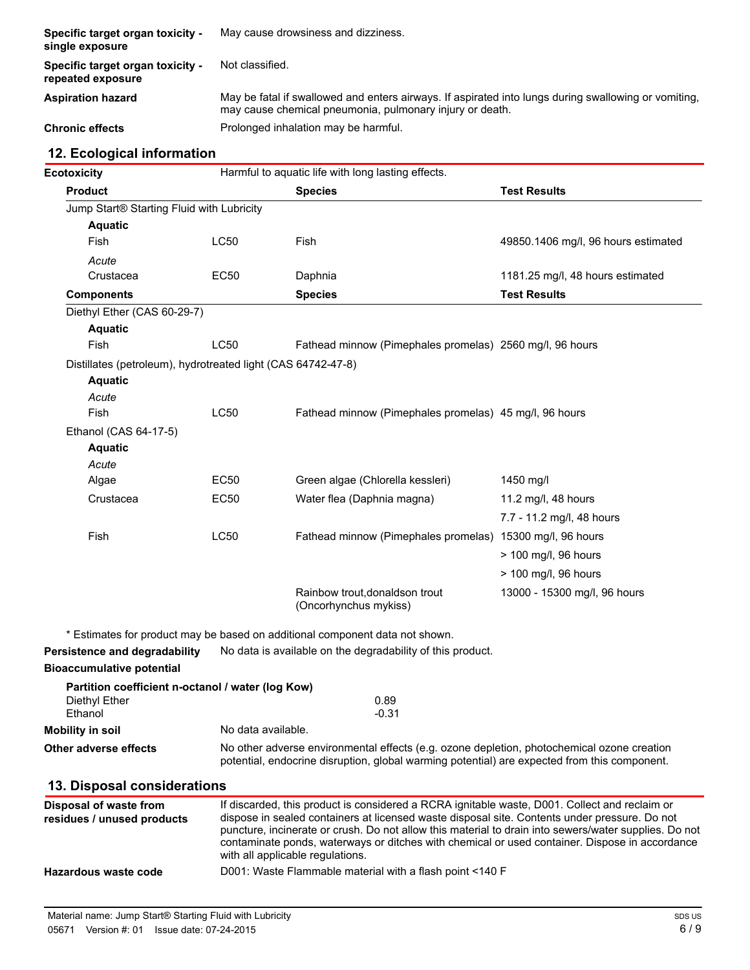| Specific target organ toxicity -<br>single exposure   | May cause drowsiness and dizziness.                                                                                                                              |
|-------------------------------------------------------|------------------------------------------------------------------------------------------------------------------------------------------------------------------|
| Specific target organ toxicity -<br>repeated exposure | Not classified.                                                                                                                                                  |
| <b>Aspiration hazard</b>                              | May be fatal if swallowed and enters airways. If aspirated into lungs during swallowing or vomiting,<br>may cause chemical pneumonia, pulmonary injury or death. |
| <b>Chronic effects</b>                                | Prolonged inhalation may be harmful.                                                                                                                             |

### **12. Ecological information**

| <b>Ecotoxicity</b>                                           |                    | Harmful to aquatic life with long lasting effects.                                                                                                                                             |                                                                                                       |
|--------------------------------------------------------------|--------------------|------------------------------------------------------------------------------------------------------------------------------------------------------------------------------------------------|-------------------------------------------------------------------------------------------------------|
| <b>Product</b>                                               |                    | <b>Species</b>                                                                                                                                                                                 | <b>Test Results</b>                                                                                   |
| Jump Start® Starting Fluid with Lubricity                    |                    |                                                                                                                                                                                                |                                                                                                       |
| <b>Aquatic</b>                                               |                    |                                                                                                                                                                                                |                                                                                                       |
| Fish                                                         | <b>LC50</b>        | Fish                                                                                                                                                                                           | 49850.1406 mg/l, 96 hours estimated                                                                   |
| Acute                                                        |                    |                                                                                                                                                                                                |                                                                                                       |
| Crustacea                                                    | <b>EC50</b>        | Daphnia                                                                                                                                                                                        | 1181.25 mg/l, 48 hours estimated                                                                      |
| <b>Components</b>                                            |                    | <b>Species</b>                                                                                                                                                                                 | <b>Test Results</b>                                                                                   |
| Diethyl Ether (CAS 60-29-7)                                  |                    |                                                                                                                                                                                                |                                                                                                       |
| <b>Aquatic</b>                                               |                    |                                                                                                                                                                                                |                                                                                                       |
| Fish                                                         | <b>LC50</b>        | Fathead minnow (Pimephales promelas) 2560 mg/l, 96 hours                                                                                                                                       |                                                                                                       |
| Distillates (petroleum), hydrotreated light (CAS 64742-47-8) |                    |                                                                                                                                                                                                |                                                                                                       |
| <b>Aquatic</b>                                               |                    |                                                                                                                                                                                                |                                                                                                       |
| Acute                                                        |                    |                                                                                                                                                                                                |                                                                                                       |
| Fish                                                         | <b>LC50</b>        | Fathead minnow (Pimephales promelas) 45 mg/l, 96 hours                                                                                                                                         |                                                                                                       |
| Ethanol (CAS 64-17-5)                                        |                    |                                                                                                                                                                                                |                                                                                                       |
| <b>Aquatic</b>                                               |                    |                                                                                                                                                                                                |                                                                                                       |
| Acute                                                        | EC50               | Green algae (Chlorella kessleri)                                                                                                                                                               |                                                                                                       |
| Algae                                                        |                    |                                                                                                                                                                                                | 1450 mg/l                                                                                             |
| Crustacea                                                    | EC50               | Water flea (Daphnia magna)                                                                                                                                                                     | 11.2 mg/l, 48 hours                                                                                   |
|                                                              |                    |                                                                                                                                                                                                | 7.7 - 11.2 mg/l, 48 hours                                                                             |
| Fish                                                         | <b>LC50</b>        | Fathead minnow (Pimephales promelas) 15300 mg/l, 96 hours                                                                                                                                      |                                                                                                       |
|                                                              |                    |                                                                                                                                                                                                | > 100 mg/l, 96 hours                                                                                  |
|                                                              |                    |                                                                                                                                                                                                | > 100 mg/l, 96 hours                                                                                  |
|                                                              |                    | Rainbow trout, donaldson trout<br>(Oncorhynchus mykiss)                                                                                                                                        | 13000 - 15300 mg/l, 96 hours                                                                          |
|                                                              |                    | * Estimates for product may be based on additional component data not shown.                                                                                                                   |                                                                                                       |
| Persistence and degradability                                |                    | No data is available on the degradability of this product.                                                                                                                                     |                                                                                                       |
| <b>Bioaccumulative potential</b>                             |                    |                                                                                                                                                                                                |                                                                                                       |
| Partition coefficient n-octanol / water (log Kow)            |                    |                                                                                                                                                                                                |                                                                                                       |
| Diethyl Ether                                                |                    | 0.89                                                                                                                                                                                           |                                                                                                       |
| Ethanol                                                      |                    | $-0.31$                                                                                                                                                                                        |                                                                                                       |
| <b>Mobility in soil</b>                                      | No data available. |                                                                                                                                                                                                |                                                                                                       |
| <b>Other adverse effects</b>                                 |                    | No other adverse environmental effects (e.g. ozone depletion, photochemical ozone creation<br>potential, endocrine disruption, global warming potential) are expected from this component.     |                                                                                                       |
| 13. Disposal considerations                                  |                    |                                                                                                                                                                                                |                                                                                                       |
| Disposal of waste from<br>residues / unused products         |                    | If discarded, this product is considered a RCRA ignitable waste, D001. Collect and reclaim or<br>dispose in sealed containers at licensed waste disposal site. Contents under pressure. Do not | puncture, incinerate or crush. Do not allow this material to drain into sewers/water supplies. Do not |

contaminate ponds, waterways or ditches with chemical or used container. Dispose in accordance

with all applicable regulations.

**Hazardous waste code** D001: Waste Flammable material with a flash point <140 F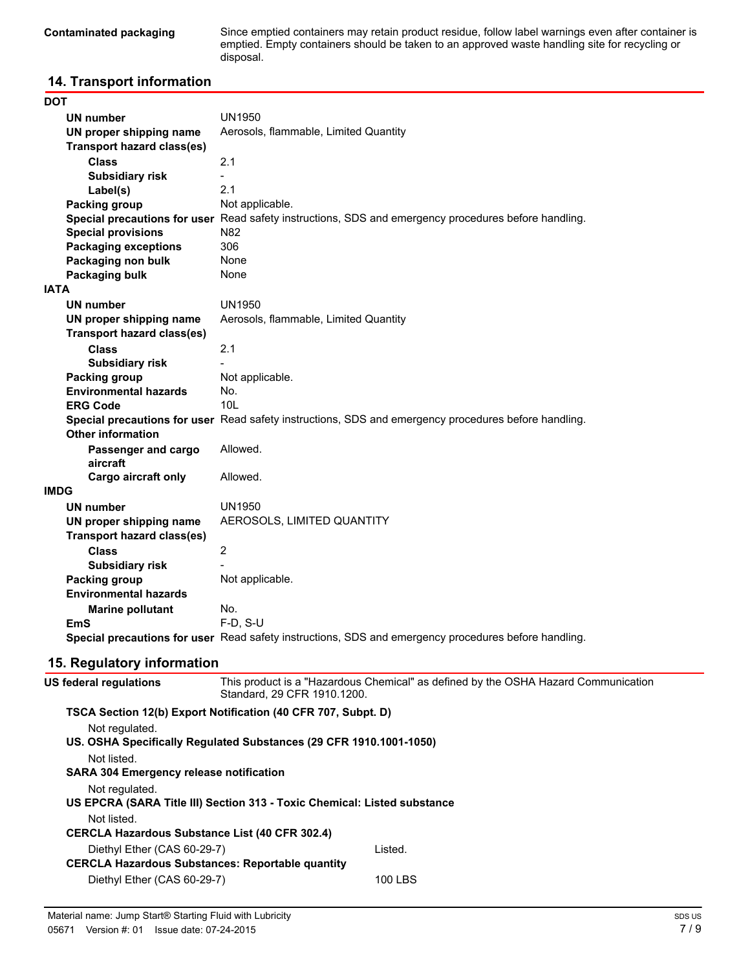Since emptied containers may retain product residue, follow label warnings even after container is emptied. Empty containers should be taken to an approved waste handling site for recycling or disposal.

### **14. Transport information**

| DOT                               |                                                                                                      |
|-----------------------------------|------------------------------------------------------------------------------------------------------|
| <b>UN number</b>                  | <b>UN1950</b>                                                                                        |
| UN proper shipping name           | Aerosols, flammable, Limited Quantity                                                                |
| <b>Transport hazard class(es)</b> |                                                                                                      |
| Class                             | 2.1                                                                                                  |
| <b>Subsidiary risk</b>            | $\blacksquare$                                                                                       |
| Label(s)                          | 2.1                                                                                                  |
| Packing group                     | Not applicable.                                                                                      |
|                                   | Special precautions for user Read safety instructions, SDS and emergency procedures before handling. |
| <b>Special provisions</b>         | N82                                                                                                  |
| <b>Packaging exceptions</b>       | 306                                                                                                  |
| Packaging non bulk                | None                                                                                                 |
| Packaging bulk                    | None                                                                                                 |
| IATA                              |                                                                                                      |
| <b>UN number</b>                  | <b>UN1950</b>                                                                                        |
| UN proper shipping name           | Aerosols, flammable, Limited Quantity                                                                |
| <b>Transport hazard class(es)</b> |                                                                                                      |
| <b>Class</b>                      | 2.1                                                                                                  |
| <b>Subsidiary risk</b>            |                                                                                                      |
| Packing group                     | Not applicable.                                                                                      |
| <b>Environmental hazards</b>      | No.                                                                                                  |
| <b>ERG Code</b>                   | 10 <sub>L</sub>                                                                                      |
|                                   | Special precautions for user Read safety instructions, SDS and emergency procedures before handling. |
| <b>Other information</b>          |                                                                                                      |
| Passenger and cargo               | Allowed.                                                                                             |
| aircraft                          |                                                                                                      |
| Cargo aircraft only               | Allowed.                                                                                             |
| IMDG                              |                                                                                                      |
| <b>UN number</b>                  | <b>UN1950</b>                                                                                        |
| UN proper shipping name           | AEROSOLS, LIMITED QUANTITY                                                                           |
| <b>Transport hazard class(es)</b> |                                                                                                      |
| <b>Class</b>                      | $\overline{2}$                                                                                       |
| <b>Subsidiary risk</b>            |                                                                                                      |
| Packing group                     | Not applicable.                                                                                      |
| <b>Environmental hazards</b>      |                                                                                                      |
| <b>Marine pollutant</b>           | No.                                                                                                  |
| EmS                               | $F-D$ , S-U                                                                                          |
|                                   | Special precautions for user Read safety instructions, SDS and emergency procedures before handling. |
| 15. Regulatory information        |                                                                                                      |
| IC fodoral roquiatione            | This product is a "Hazardous Chemical" as defined by the OSHA Hazard Communication                   |

| us regeral regulations                         | Standard, 29 CFR 1910.1200.                                              | This product is a Thazardous Chemical as defined by the OSHA Hazard Communication |
|------------------------------------------------|--------------------------------------------------------------------------|-----------------------------------------------------------------------------------|
|                                                | TSCA Section 12(b) Export Notification (40 CFR 707, Subpt. D)            |                                                                                   |
| Not regulated.                                 |                                                                          |                                                                                   |
|                                                | US. OSHA Specifically Regulated Substances (29 CFR 1910.1001-1050)       |                                                                                   |
| Not listed.                                    |                                                                          |                                                                                   |
| <b>SARA 304 Emergency release notification</b> |                                                                          |                                                                                   |
| Not regulated.                                 |                                                                          |                                                                                   |
|                                                | US EPCRA (SARA Title III) Section 313 - Toxic Chemical: Listed substance |                                                                                   |
| Not listed.                                    |                                                                          |                                                                                   |
|                                                | <b>CERCLA Hazardous Substance List (40 CFR 302.4)</b>                    |                                                                                   |
| Diethyl Ether (CAS 60-29-7)                    |                                                                          | Listed.                                                                           |
|                                                | <b>CERCLA Hazardous Substances: Reportable quantity</b>                  |                                                                                   |
| Diethyl Ether (CAS 60-29-7)                    |                                                                          | 100 LBS                                                                           |
|                                                |                                                                          |                                                                                   |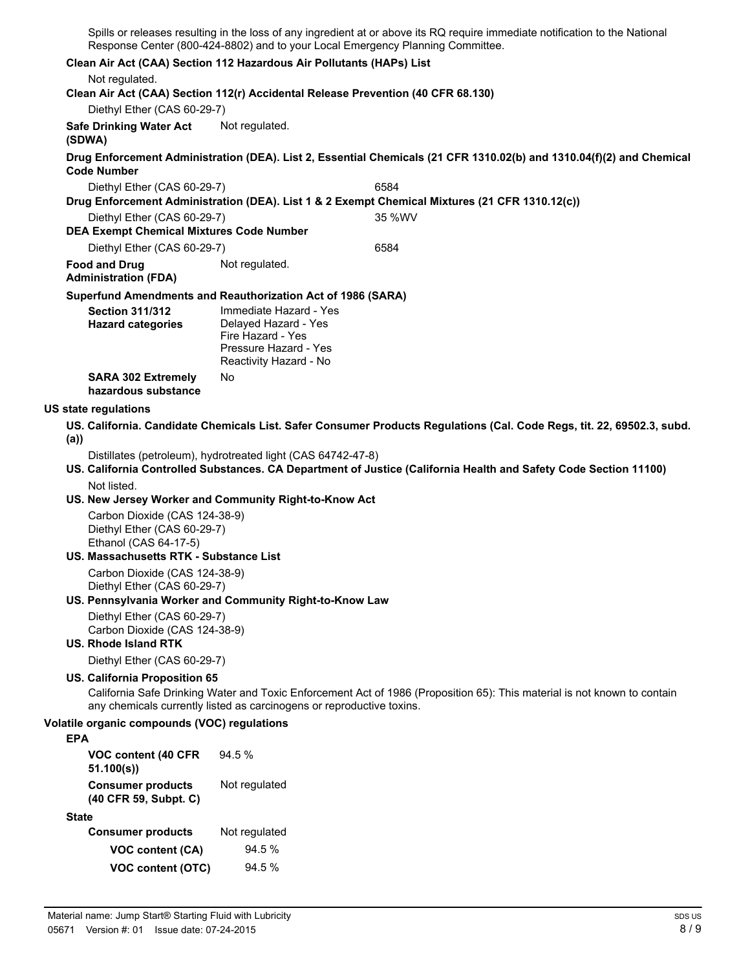Spills or releases resulting in the loss of any ingredient at or above its RQ require immediate notification to the National Response Center (800-424-8802) and to your Local Emergency Planning Committee.

#### **Clean Air Act (CAA) Section 112 Hazardous Air Pollutants (HAPs) List**

#### Not regulated.

**Clean Air Act (CAA) Section 112(r) Accidental Release Prevention (40 CFR 68.130)**

Diethyl Ether (CAS 60-29-7)

**Safe Drinking Water Act** Not regulated.

#### **(SDWA)**

**Drug Enforcement Administration (DEA). List 2, Essential Chemicals (21 CFR 1310.02(b) and 1310.04(f)(2) and Chemical Code Number**

Diethyl Ether (CAS 60-29-7) 6584 **Drug Enforcement Administration (DEA). List 1 & 2 Exempt Chemical Mixtures (21 CFR 1310.12(c))**

Diethyl Ether (CAS 60-29-7) 35 %WV

**DEA Exempt Chemical Mixtures Code Number** Diethyl Ether (CAS 60-29-7) 6584

**Food and Drug** Not regulated.

### **Administration (FDA)**

#### **Superfund Amendments and Reauthorization Act of 1986 (SARA)**

| <b>Section 311/312</b><br><b>Hazard categories</b> | Immediate Hazard - Yes<br>Delayed Hazard - Yes<br>Fire Hazard - Yes<br>Pressure Hazard - Yes<br>Reactivity Hazard - No |
|----------------------------------------------------|------------------------------------------------------------------------------------------------------------------------|
| <b>SARA 302 Extremely</b><br>hazardous substance   | N٥                                                                                                                     |

#### **US state regulations**

**US. California. Candidate Chemicals List. Safer Consumer Products Regulations (Cal. Code Regs, tit. 22, 69502.3, subd. (a))**

Distillates (petroleum), hydrotreated light (CAS 64742-47-8)

**US. California Controlled Substances. CA Department of Justice (California Health and Safety Code Section 11100)** Not listed.

#### **US. New Jersey Worker and Community Right-to-Know Act**

Carbon Dioxide (CAS 124-38-9) Diethyl Ether (CAS 60-29-7) Ethanol (CAS 64-17-5)

### **US. Massachusetts RTK - Substance List**

Carbon Dioxide (CAS 124-38-9) Diethyl Ether (CAS 60-29-7)

#### **US. Pennsylvania Worker and Community Right-to-Know Law**

Diethyl Ether (CAS 60-29-7) Carbon Dioxide (CAS 124-38-9)

#### **US. Rhode Island RTK**

Diethyl Ether (CAS 60-29-7)

#### **US. California Proposition 65**

California Safe Drinking Water and Toxic Enforcement Act of 1986 (Proposition 65): This material is not known to contain any chemicals currently listed as carcinogens or reproductive toxins.

#### **Volatile organic compounds (VOC) regulations**

#### **EPA**

| VOC content (40 CFR<br>51.100(s))                 | 94.5%         |
|---------------------------------------------------|---------------|
| <b>Consumer products</b><br>(40 CFR 59, Subpt. C) | Not regulated |

#### **State**

| <b>Consumer products</b> | Not regulated |
|--------------------------|---------------|
| <b>VOC content (CA)</b>  | 94.5%         |
| VOC content (OTC)        | $94.5\%$      |